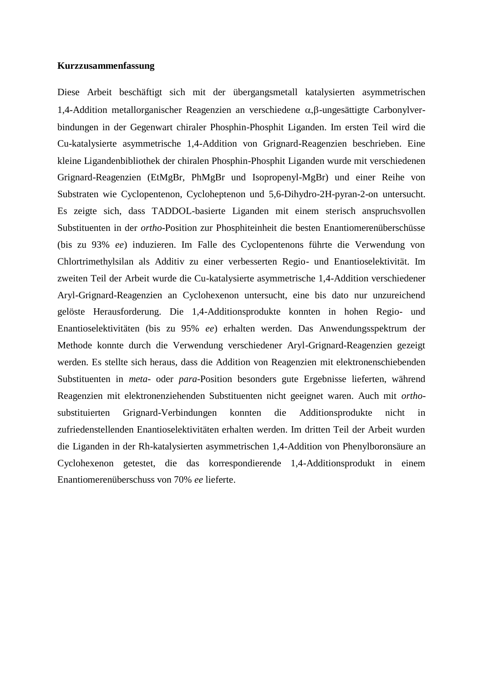## **Kurzzusammenfassung**

Diese Arbeit beschäftigt sich mit der übergangsmetall katalysierten asymmetrischen 1,4-Addition metallorganischer Reagenzien an verschiedene  $\alpha$ , $\beta$ -ungesättigte Carbonylverbindungen in der Gegenwart chiraler Phosphin-Phosphit Liganden. Im ersten Teil wird die Cu-katalysierte asymmetrische 1,4-Addition von Grignard-Reagenzien beschrieben. Eine kleine Ligandenbibliothek der chiralen Phosphin-Phosphit Liganden wurde mit verschiedenen Grignard-Reagenzien (EtMgBr, PhMgBr und Isopropenyl-MgBr) und einer Reihe von Substraten wie Cyclopentenon, Cycloheptenon und 5,6-Dihydro-2H-pyran-2-on untersucht. Es zeigte sich, dass TADDOL-basierte Liganden mit einem sterisch anspruchsvollen Substituenten in der *ortho*-Position zur Phosphiteinheit die besten Enantiomerenüberschüsse (bis zu 93% *ee*) induzieren. Im Falle des Cyclopentenons führte die Verwendung von Chlortrimethylsilan als Additiv zu einer verbesserten Regio- und Enantioselektivität. Im zweiten Teil der Arbeit wurde die Cu-katalysierte asymmetrische 1,4-Addition verschiedener Aryl-Grignard-Reagenzien an Cyclohexenon untersucht, eine bis dato nur unzureichend gelöste Herausforderung. Die 1,4-Additionsprodukte konnten in hohen Regio- und Enantioselektivitäten (bis zu 95% *ee*) erhalten werden. Das Anwendungsspektrum der Methode konnte durch die Verwendung verschiedener Aryl-Grignard-Reagenzien gezeigt werden. Es stellte sich heraus, dass die Addition von Reagenzien mit elektronenschiebenden Substituenten in *meta*- oder *para*-Position besonders gute Ergebnisse lieferten, während Reagenzien mit elektronenziehenden Substituenten nicht geeignet waren. Auch mit *ortho*substituierten Grignard-Verbindungen konnten die Additionsprodukte nicht in zufriedenstellenden Enantioselektivitäten erhalten werden. Im dritten Teil der Arbeit wurden die Liganden in der Rh-katalysierten asymmetrischen 1,4-Addition von Phenylboronsäure an Cyclohexenon getestet, die das korrespondierende 1,4-Additionsprodukt in einem Enantiomerenüberschuss von 70% *ee* lieferte.